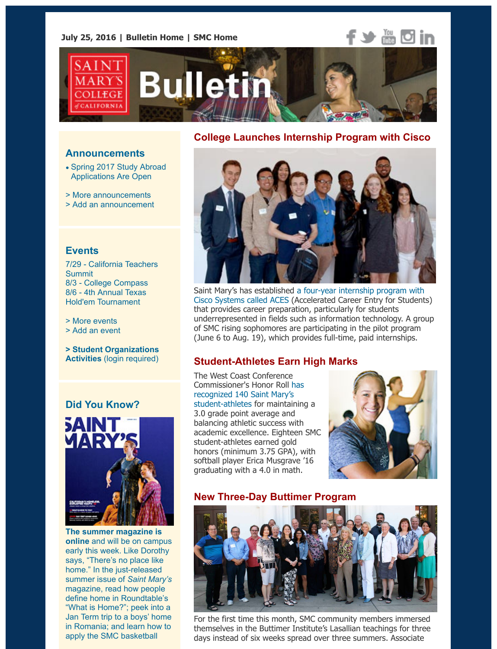# **College Launches Internship Program with Ci**

#### **Announcem[ents](http://www.stmarys-ca.edu/smc-bulletin?utm_source=Bulletin&utm_medium=email&utm_content=headerlinks_test&utm_campaign=07-25-2016)**

- Spring 2017 Study Abroad Applications Are Open
- > More announcements
- > Add an announcement

### **Events**

7/29 - California Teachers Summit 8/3 [- College Compass](http://www.stmarys-ca.edu/spring-2017-study-abroad-application-are-open?utm_source=Bulletin&utm_medium=email&utm_content=announcement_test&utm_campaign=07-25-2016) 8/6 - 4th Annual Texas [Hold](http://www.stmarys-ca.edu/smc-bulletin/announcements?utm_source=Bulletin&utm_medium=email&utm_content=announcement_test&utm_campaign=07-25-2016)'[em Tournament](http://www.stmarys-ca.edu/smc-bulletin/announcements?utm_source=Bulletin&utm_medium=email&utm_content=announcement_test&utm_campaign=07-25-2016)

[> More events](http://www.stmarys-ca.edu/node/add/announcement?utm_source=Bulletin&utm_medium=email&utm_content=announcement_test&utm_campaign=07-25-2016) > Add an event

**> Student Organizations Activities** (login required)

### **[Did You Know?](https://www.stmarys-ca.edu/4th-annual-texas-holdem-tournament-benefiting-the-smc-mens-and-womens-cross-country-and-track?utm_source=Bulletin&utm_medium=email&utm_content=event_test&utm_campaign=07-25-2016)**



**The summer magazine is online** and will be on campus early this week. Like Dorothy says, "There's no place like home." In the just-released summer issue of *Saint Mary's* magazine, read how people define home in Roundtable's "What is Home?"; peek into a [Jan Term trip to a boys' home](https://www.stmarys-ca.edu/saint-marys-magazine?utm_source=Bulletin&utm_medium=email&utm_content=sidebar_test&utm_campaign=07-25-2016) in Romania; and learn how to apply the SMC basketball



Saint Mary's has established a four-year internship program w Cisco Systems called ACES (Accelerated Career Entry for Stud that provides career preparation, particularly for students underrepresented in fields such as information technology. A of SMC rising sophomores are participating in the pilot program (June 6 to Aug. 19), which provides full-time, paid internships.

#### **Student-Athletes Earn High Marks**

The West Coast Conference Commissioner's Honor Roll has recognized 140 Saint Mary's [student-athletes for maintaining a](http://www.stmarys-ca.edu/saint-mary%E2%80%99s-college-collaborates-with-cisco-to-launch-new-career-entry-internship-initiative?utm_source=Bulletin&utm_medium=email&utm_content=feature_test&utm_campaign=07-25-2016) 3.0 grade point average and balancing athletic success with academic excellence. Eighteen SMC student-athletes earned gold honors (minimum 3.75 GPA), with softball player Erica Musgrave '16 graduating with a 4.0 in math.



### **[New Three-Day Buttime](http://www.smcgaels.com/ViewArticle.dbml?DB_OEM_ID=21400&ATCLID=211075197)r Program**



For the first time this month, SMC community members immer themselves in the Buttimer Institute's Lasallian teachings for the days instead of six weeks spread over three summers. Associ